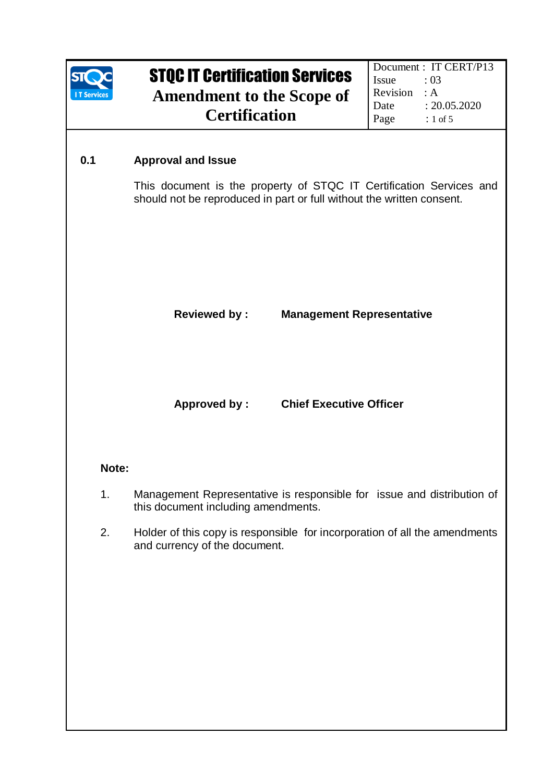

### **0.1 Approval and Issue**

This document is the property of STQC IT Certification Services and should not be reproduced in part or full without the written consent.

### **Reviewed by : Management Representative**

**Approved by : Chief Executive Officer** 

### **Note:**

- 1. Management Representative is responsible for issue and distribution of this document including amendments.
- 2. Holder of this copy is responsible for incorporation of all the amendments and currency of the document.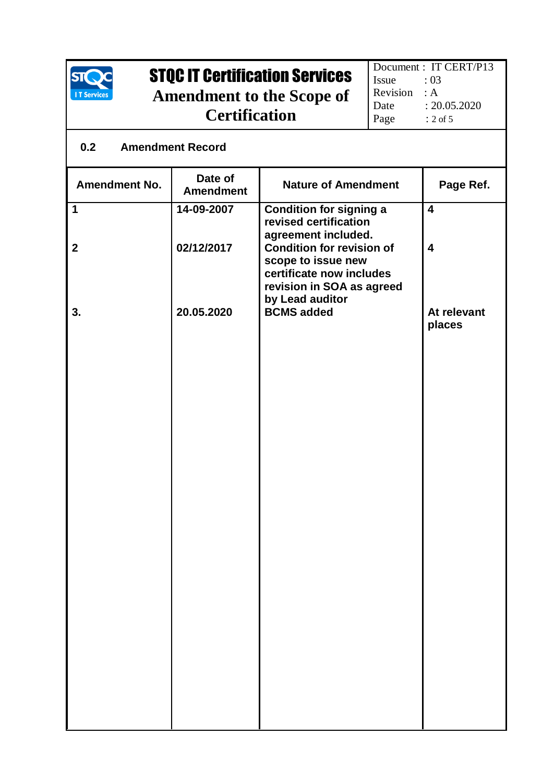

### **0.2 Amendment Record**

| Date of<br><b>Amendment</b> | <b>Nature of Amendment</b>                                                                                      | Page Ref.                              |
|-----------------------------|-----------------------------------------------------------------------------------------------------------------|----------------------------------------|
| 14-09-2007                  | <b>Condition for signing a</b><br>revised certification                                                         | $\overline{\mathbf{4}}$                |
| 02/12/2017                  | <b>Condition for revision of</b><br>scope to issue new<br>certificate now includes<br>revision in SOA as agreed | $\boldsymbol{4}$                       |
| 20.05.2020                  | <b>BCMS</b> added                                                                                               | At relevant<br>places                  |
|                             |                                                                                                                 |                                        |
|                             |                                                                                                                 |                                        |
|                             |                                                                                                                 |                                        |
|                             |                                                                                                                 |                                        |
|                             |                                                                                                                 |                                        |
|                             |                                                                                                                 |                                        |
|                             |                                                                                                                 |                                        |
|                             |                                                                                                                 |                                        |
|                             |                                                                                                                 |                                        |
|                             |                                                                                                                 |                                        |
|                             |                                                                                                                 | agreement included.<br>by Lead auditor |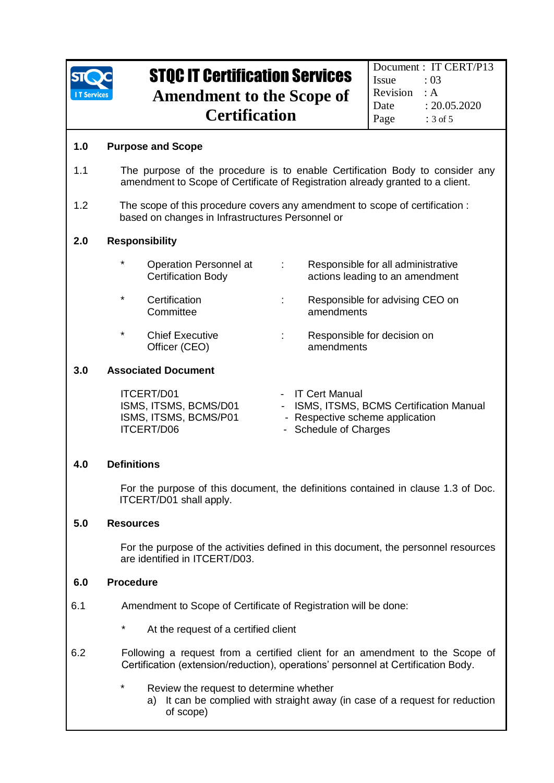

#### **1.0 Purpose and Scope**

- 1.1 The purpose of the procedure is to enable Certification Body to consider any amendment to Scope of Certificate of Registration already granted to a client.
- 1.2 The scope of this procedure covers any amendment to scope of certification : based on changes in Infrastructures Personnel or

#### **2.0 Responsibility**

| $\star$ | Operation Personnel at<br><b>Certification Body</b> | Responsible for all administrative<br>actions leading to an amendment |
|---------|-----------------------------------------------------|-----------------------------------------------------------------------|
| $\star$ | Certification<br>Committee                          | Responsible for advising CEO on<br>amendments                         |
| $\star$ | <b>Chief Executive</b>                              | Responsible for decision on                                           |

Officer (CEO) amendments

#### **3.0 Associated Document**

| ITCERT/D01            | - IT Cert Manual                         |
|-----------------------|------------------------------------------|
| ISMS, ITSMS, BCMS/D01 | - ISMS, ITSMS, BCMS Certification Manual |
| ISMS, ITSMS, BCMS/P01 | - Respective scheme application          |
| ITCERT/D06            | - Schedule of Charges                    |

#### **4.0 Definitions**

For the purpose of this document, the definitions contained in clause 1.3 of Doc. ITCERT/D01 shall apply.

#### **5.0 Resources**

For the purpose of the activities defined in this document, the personnel resources are identified in ITCERT/D03.

#### **6.0 Procedure**

- 6.1 Amendment to Scope of Certificate of Registration will be done:
	- At the request of a certified client
- 6.2 Following a request from a certified client for an amendment to the Scope of Certification (extension/reduction), operations' personnel at Certification Body.
	- Review the request to determine whether
		- a) It can be complied with straight away (in case of a request for reduction of scope)